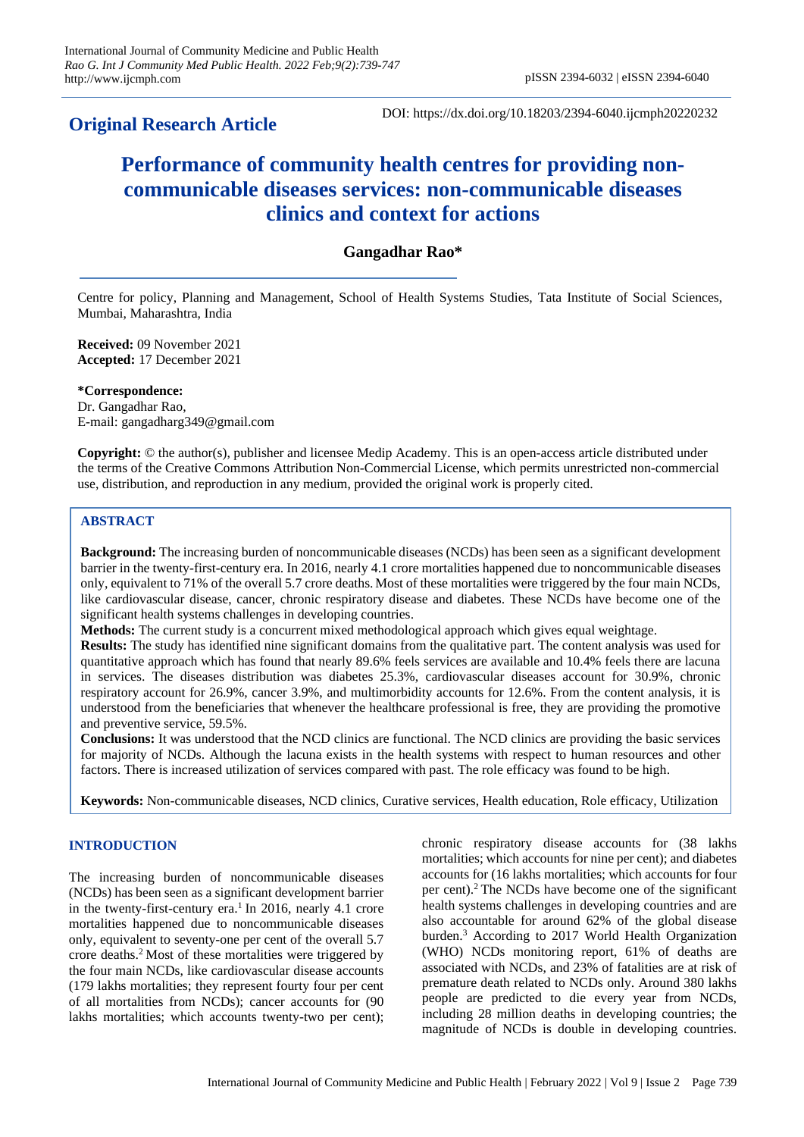## **Original Research Article**

DOI: https://dx.doi.org/10.18203/2394-6040.ijcmph20220232

# **Performance of community health centres for providing noncommunicable diseases services: non-communicable diseases clinics and context for actions**

## **Gangadhar Rao\***

Centre for policy, Planning and Management, School of Health Systems Studies, Tata Institute of Social Sciences, Mumbai, Maharashtra, India

**Received:** 09 November 2021 **Accepted:** 17 December 2021

**\*Correspondence:** Dr. Gangadhar Rao, E-mail: gangadharg349@gmail.com

**Copyright:** © the author(s), publisher and licensee Medip Academy. This is an open-access article distributed under the terms of the Creative Commons Attribution Non-Commercial License, which permits unrestricted non-commercial use, distribution, and reproduction in any medium, provided the original work is properly cited.

## **ABSTRACT**

**Background:** The increasing burden of noncommunicable diseases (NCDs) has been seen as a significant development barrier in the twenty-first-century era. In 2016, nearly 4.1 crore mortalities happened due to noncommunicable diseases only, equivalent to 71% of the overall 5.7 crore deaths. Most of these mortalities were triggered by the four main NCDs, like cardiovascular disease, cancer, chronic respiratory disease and diabetes. These NCDs have become one of the significant health systems challenges in developing countries.

**Methods:** The current study is a concurrent mixed methodological approach which gives equal weightage.

**Results:** The study has identified nine significant domains from the qualitative part. The content analysis was used for quantitative approach which has found that nearly 89.6% feels services are available and 10.4% feels there are lacuna in services. The diseases distribution was diabetes 25.3%, cardiovascular diseases account for 30.9%, chronic respiratory account for 26.9%, cancer 3.9%, and multimorbidity accounts for 12.6%. From the content analysis, it is understood from the beneficiaries that whenever the healthcare professional is free, they are providing the promotive and preventive service, 59.5%.

**Conclusions:** It was understood that the NCD clinics are functional. The NCD clinics are providing the basic services for majority of NCDs. Although the lacuna exists in the health systems with respect to human resources and other factors. There is increased utilization of services compared with past. The role efficacy was found to be high.

**Keywords:** Non-communicable diseases, NCD clinics, Curative services, Health education, Role efficacy, Utilization

## **INTRODUCTION**

The increasing burden of noncommunicable diseases (NCDs) has been seen as a significant development barrier in the twenty-first-century era.<sup>1</sup> In 2016, nearly 4.1 crore mortalities happened due to noncommunicable diseases only, equivalent to seventy-one per cent of the overall 5.7 crore deaths.<sup>2</sup>Most of these mortalities were triggered by the four main NCDs, like cardiovascular disease accounts (179 lakhs mortalities; they represent fourty four per cent of all mortalities from NCDs); cancer accounts for (90 lakhs mortalities; which accounts twenty-two per cent);

chronic respiratory disease accounts for (38 lakhs mortalities; which accounts for nine per cent); and diabetes accounts for (16 lakhs mortalities; which accounts for four per cent).<sup>2</sup>The NCDs have become one of the significant health systems challenges in developing countries and are also accountable for around 62% of the global disease burden.<sup>3</sup> According to 2017 World Health Organization (WHO) NCDs monitoring report, 61% of deaths are associated with NCDs, and 23% of fatalities are at risk of premature death related to NCDs only. Around 380 lakhs people are predicted to die every year from NCDs, including 28 million deaths in developing countries; the magnitude of NCDs is double in developing countries.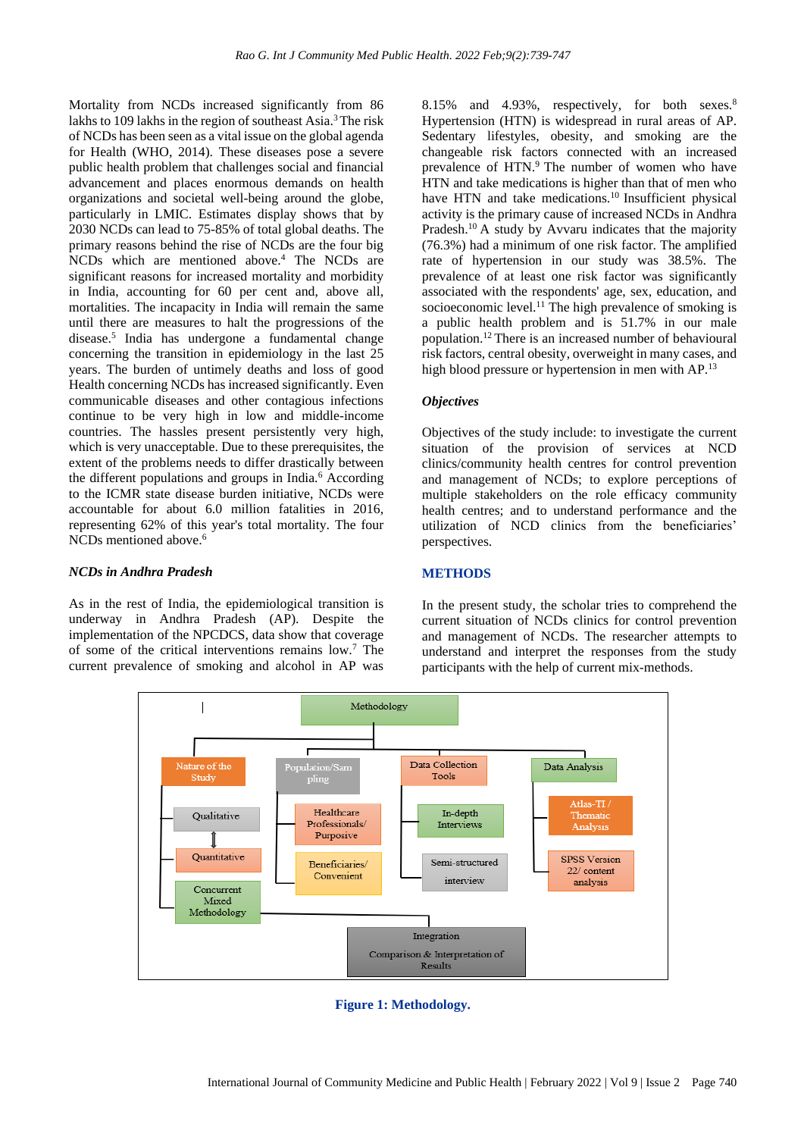Mortality from NCDs increased significantly from 86 lakhs to 109 lakhs in the region of southeast Asia.<sup>3</sup> The risk of NCDs has been seen as a vital issue on the global agenda for Health (WHO, 2014). These diseases pose a severe public health problem that challenges social and financial advancement and places enormous demands on health organizations and societal well-being around the globe, particularly in LMIC. Estimates display shows that by 2030 NCDs can lead to 75-85% of total global deaths. The primary reasons behind the rise of NCDs are the four big NCDs which are mentioned above.<sup>4</sup> The NCDs are significant reasons for increased mortality and morbidity in India, accounting for 60 per cent and, above all, mortalities. The incapacity in India will remain the same until there are measures to halt the progressions of the disease.<sup>5</sup> India has undergone a fundamental change concerning the transition in epidemiology in the last 25 years. The burden of untimely deaths and loss of good Health concerning NCDs has increased significantly. Even communicable diseases and other contagious infections continue to be very high in low and middle-income countries. The hassles present persistently very high, which is very unacceptable. Due to these prerequisites, the extent of the problems needs to differ drastically between the different populations and groups in India.<sup>6</sup> According to the ICMR state disease burden initiative, NCDs were accountable for about 6.0 million fatalities in 2016, representing 62% of this year's total mortality. The four NCDs mentioned above.<sup>6</sup>

#### *NCDs in Andhra Pradesh*

As in the rest of India, the epidemiological transition is underway in Andhra Pradesh (AP). Despite the implementation of the NPCDCS, data show that coverage of some of the critical interventions remains low.<sup>7</sup> The current prevalence of smoking and alcohol in AP was

8.15% and 4.93%, respectively, for both sexes.<sup>8</sup> Hypertension (HTN) is widespread in rural areas of AP. Sedentary lifestyles, obesity, and smoking are the changeable risk factors connected with an increased prevalence of HTN.<sup>9</sup> The number of women who have HTN and take medications is higher than that of men who have HTN and take medications.<sup>10</sup> Insufficient physical activity is the primary cause of increased NCDs in Andhra Pradesh.<sup>10</sup> A study by Avvaru indicates that the majority (76.3%) had a minimum of one risk factor. The amplified rate of hypertension in our study was 38.5%. The prevalence of at least one risk factor was significantly associated with the respondents' age, sex, education, and socioeconomic level.<sup>11</sup> The high prevalence of smoking is a public health problem and is 51.7% in our male population.<sup>12</sup>There is an increased number of behavioural risk factors, central obesity, overweight in many cases, and high blood pressure or hypertension in men with AP.<sup>13</sup>

#### *Objectives*

Objectives of the study include: to investigate the current situation of the provision of services at NCD clinics/community health centres for control prevention and management of NCDs; to explore perceptions of multiple stakeholders on the role efficacy community health centres; and to understand performance and the utilization of NCD clinics from the beneficiaries' perspectives.

## **METHODS**

In the present study, the scholar tries to comprehend the current situation of NCDs clinics for control prevention and management of NCDs. The researcher attempts to understand and interpret the responses from the study participants with the help of current mix-methods.



**Figure 1: Methodology.**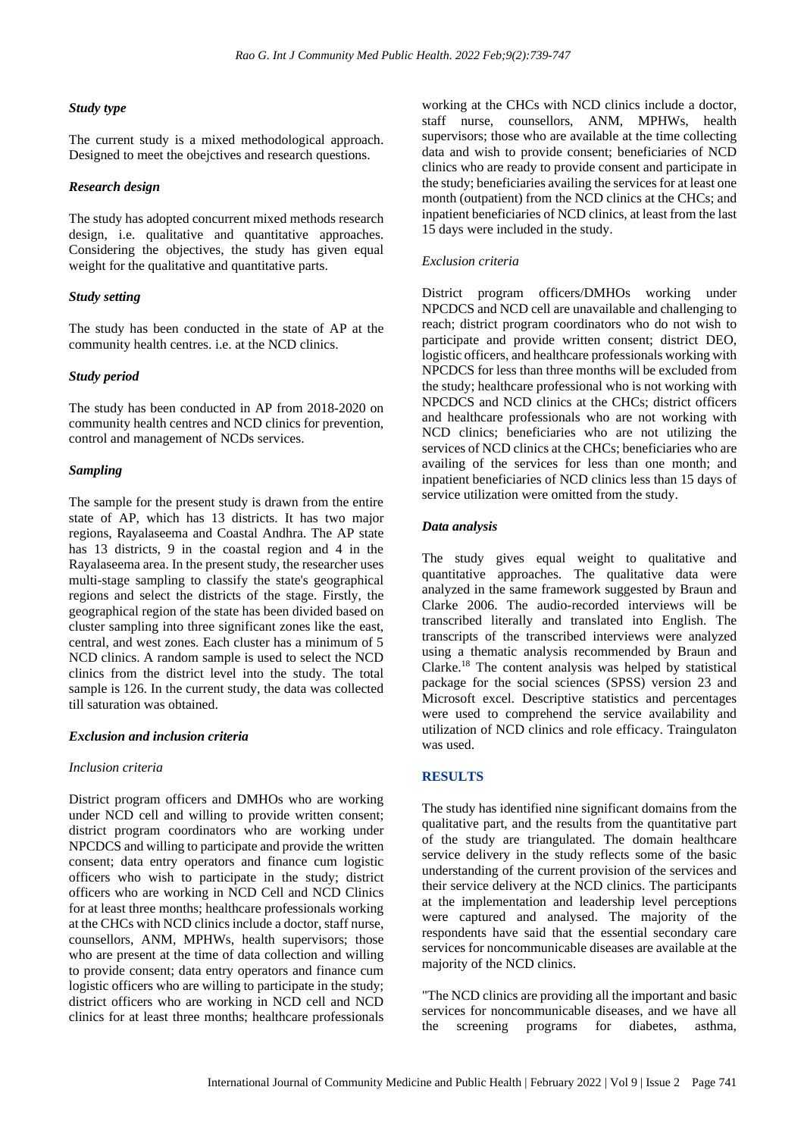#### *Study type*

The current study is a mixed methodological approach. Designed to meet the obejctives and research questions.

## *Research design*

The study has adopted concurrent mixed methods research design, i.e. qualitative and quantitative approaches. Considering the objectives, the study has given equal weight for the qualitative and quantitative parts.

#### *Study setting*

The study has been conducted in the state of AP at the community health centres. i.e. at the NCD clinics.

## *Study period*

The study has been conducted in AP from 2018-2020 on community health centres and NCD clinics for prevention, control and management of NCDs services.

#### *Sampling*

The sample for the present study is drawn from the entire state of AP, which has 13 districts. It has two major regions, Rayalaseema and Coastal Andhra. The AP state has 13 districts, 9 in the coastal region and 4 in the Rayalaseema area. In the present study, the researcher uses multi-stage sampling to classify the state's geographical regions and select the districts of the stage. Firstly, the geographical region of the state has been divided based on cluster sampling into three significant zones like the east, central, and west zones. Each cluster has a minimum of 5 NCD clinics. A random sample is used to select the NCD clinics from the district level into the study. The total sample is 126. In the current study, the data was collected till saturation was obtained.

#### *Exclusion and inclusion criteria*

#### *Inclusion criteria*

District program officers and DMHOs who are working under NCD cell and willing to provide written consent; district program coordinators who are working under NPCDCS and willing to participate and provide the written consent; data entry operators and finance cum logistic officers who wish to participate in the study; district officers who are working in NCD Cell and NCD Clinics for at least three months; healthcare professionals working at the CHCs with NCD clinics include a doctor, staff nurse, counsellors, ANM, MPHWs, health supervisors; those who are present at the time of data collection and willing to provide consent; data entry operators and finance cum logistic officers who are willing to participate in the study; district officers who are working in NCD cell and NCD clinics for at least three months; healthcare professionals

working at the CHCs with NCD clinics include a doctor, staff nurse, counsellors, ANM, MPHWs, health supervisors; those who are available at the time collecting data and wish to provide consent; beneficiaries of NCD clinics who are ready to provide consent and participate in the study; beneficiaries availing the services for at least one month (outpatient) from the NCD clinics at the CHCs; and inpatient beneficiaries of NCD clinics, at least from the last 15 days were included in the study.

#### *Exclusion criteria*

District program officers/DMHOs working under NPCDCS and NCD cell are unavailable and challenging to reach; district program coordinators who do not wish to participate and provide written consent; district DEO, logistic officers, and healthcare professionals working with NPCDCS for less than three months will be excluded from the study; healthcare professional who is not working with NPCDCS and NCD clinics at the CHCs; district officers and healthcare professionals who are not working with NCD clinics; beneficiaries who are not utilizing the services of NCD clinics at the CHCs; beneficiaries who are availing of the services for less than one month; and inpatient beneficiaries of NCD clinics less than 15 days of service utilization were omitted from the study.

## *Data analysis*

The study gives equal weight to qualitative and quantitative approaches. The qualitative data were analyzed in the same framework suggested by Braun and Clarke 2006. The audio-recorded interviews will be transcribed literally and translated into English. The transcripts of the transcribed interviews were analyzed using a thematic analysis recommended by Braun and Clarke.<sup>18</sup> The content analysis was helped by statistical package for the social sciences (SPSS) version 23 and Microsoft excel. Descriptive statistics and percentages were used to comprehend the service availability and utilization of NCD clinics and role efficacy. Traingulaton was used.

#### **RESULTS**

The study has identified nine significant domains from the qualitative part, and the results from the quantitative part of the study are triangulated. The domain healthcare service delivery in the study reflects some of the basic understanding of the current provision of the services and their service delivery at the NCD clinics. The participants at the implementation and leadership level perceptions were captured and analysed. The majority of the respondents have said that the essential secondary care services for noncommunicable diseases are available at the majority of the NCD clinics.

"The NCD clinics are providing all the important and basic services for noncommunicable diseases, and we have all the screening programs for diabetes, asthma,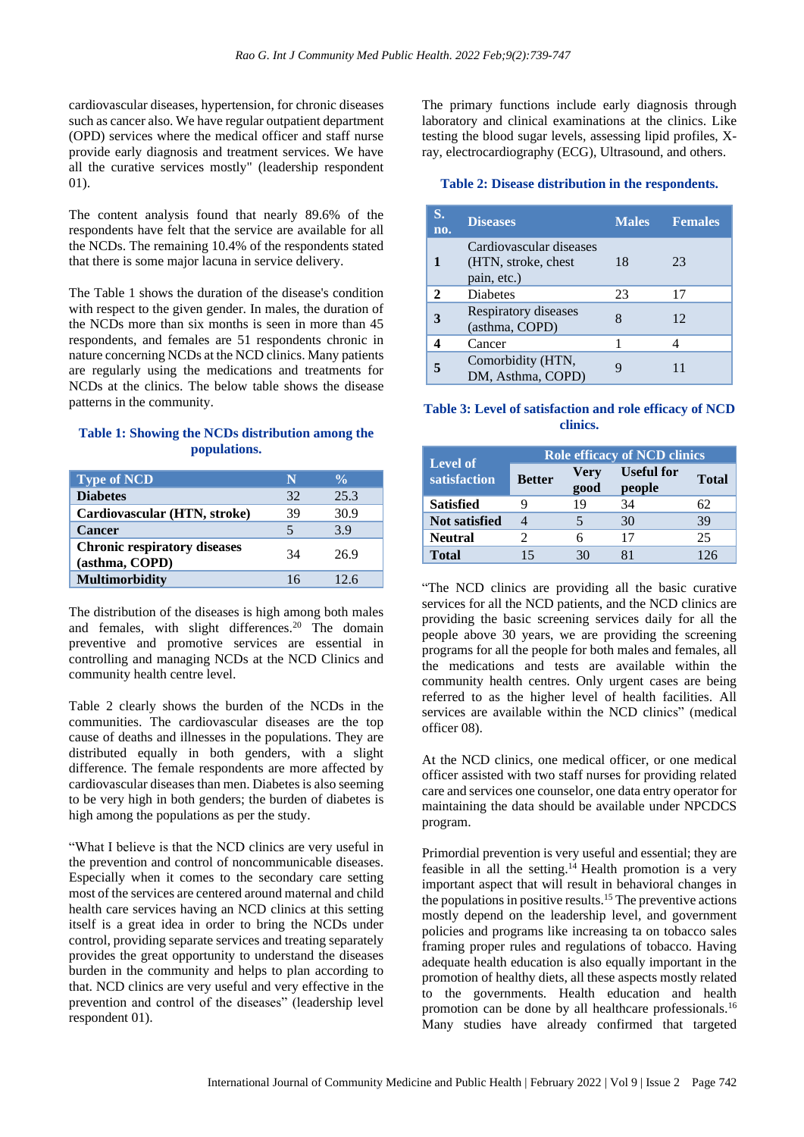cardiovascular diseases, hypertension, for chronic diseases such as cancer also. We have regular outpatient department (OPD) services where the medical officer and staff nurse provide early diagnosis and treatment services. We have all the curative services mostly" (leadership respondent 01).

The content analysis found that nearly 89.6% of the respondents have felt that the service are available for all the NCDs. The remaining 10.4% of the respondents stated that there is some major lacuna in service delivery.

The Table 1 shows the duration of the disease's condition with respect to the given gender. In males, the duration of the NCDs more than six months is seen in more than 45 respondents, and females are 51 respondents chronic in nature concerning NCDs at the NCD clinics. Many patients are regularly using the medications and treatments for NCDs at the clinics. The below table shows the disease patterns in the community.

## **Table 1: Showing the NCDs distribution among the populations.**

| <b>Type of NCD</b>                                    | N  | $\frac{0}{\sqrt{2}}$ |
|-------------------------------------------------------|----|----------------------|
| <b>Diabetes</b>                                       | 32 | 25.3                 |
| Cardiovascular (HTN, stroke)                          | 39 | 30.9                 |
| <b>Cancer</b>                                         | 5  | 3.9                  |
| <b>Chronic respiratory diseases</b><br>(asthma, COPD) | 34 | 269                  |
| <b>Multimorbidity</b>                                 | 16 | 12.6                 |

The distribution of the diseases is high among both males and females, with slight differences.<sup>20</sup> The domain preventive and promotive services are essential in controlling and managing NCDs at the NCD Clinics and community health centre level.

Table 2 clearly shows the burden of the NCDs in the communities. The cardiovascular diseases are the top cause of deaths and illnesses in the populations. They are distributed equally in both genders, with a slight difference. The female respondents are more affected by cardiovascular diseases than men. Diabetes is also seeming to be very high in both genders; the burden of diabetes is high among the populations as per the study.

"What I believe is that the NCD clinics are very useful in the prevention and control of noncommunicable diseases. Especially when it comes to the secondary care setting most of the services are centered around maternal and child health care services having an NCD clinics at this setting itself is a great idea in order to bring the NCDs under control, providing separate services and treating separately provides the great opportunity to understand the diseases burden in the community and helps to plan according to that. NCD clinics are very useful and very effective in the prevention and control of the diseases" (leadership level respondent 01).

The primary functions include early diagnosis through laboratory and clinical examinations at the clinics. Like testing the blood sugar levels, assessing lipid profiles, Xray, electrocardiography (ECG), Ultrasound, and others.

### **Table 2: Disease distribution in the respondents.**

| S.<br>no. | <b>Diseases</b>                                                | <b>Males</b> | <b>Females</b> |
|-----------|----------------------------------------------------------------|--------------|----------------|
|           | Cardiovascular diseases<br>(HTN, stroke, chest)<br>pain, etc.) | 18           | 23             |
| 2         | <b>Diabetes</b>                                                | 23           | 17             |
| 3         | Respiratory diseases<br>(asthma, COPD)                         |              | 12             |
|           | Cancer                                                         |              |                |
|           | Comorbidity (HTN,<br>DM, Asthma, COPD)                         |              |                |

## **Table 3: Level of satisfaction and role efficacy of NCD clinics.**

|                                 | <b>Role efficacy of NCD clinics</b> |              |                             |              |  |  |
|---------------------------------|-------------------------------------|--------------|-----------------------------|--------------|--|--|
| <b>Level of</b><br>satisfaction | <b>Better</b>                       | Very<br>good | <b>Useful for</b><br>people | <b>Total</b> |  |  |
| <b>Satisfied</b>                |                                     | 19           | 34                          | 62           |  |  |
| <b>Not satisfied</b>            |                                     |              | 30                          | 39           |  |  |
| <b>Neutral</b>                  |                                     |              | 17                          | 25           |  |  |
| <b>Total</b>                    | 15                                  |              |                             | 126          |  |  |

"The NCD clinics are providing all the basic curative services for all the NCD patients, and the NCD clinics are providing the basic screening services daily for all the people above 30 years, we are providing the screening programs for all the people for both males and females, all the medications and tests are available within the community health centres. Only urgent cases are being referred to as the higher level of health facilities. All services are available within the NCD clinics" (medical officer 08).

At the NCD clinics, one medical officer, or one medical officer assisted with two staff nurses for providing related care and services one counselor, one data entry operator for maintaining the data should be available under NPCDCS program.

Primordial prevention is very useful and essential; they are feasible in all the setting.<sup>14</sup> Health promotion is a very important aspect that will result in behavioral changes in the populations in positive results.<sup>15</sup> The preventive actions mostly depend on the leadership level, and government policies and programs like increasing ta on tobacco sales framing proper rules and regulations of tobacco. Having adequate health education is also equally important in the promotion of healthy diets, all these aspects mostly related to the governments. Health education and health promotion can be done by all healthcare professionals.<sup>16</sup> Many studies have already confirmed that targeted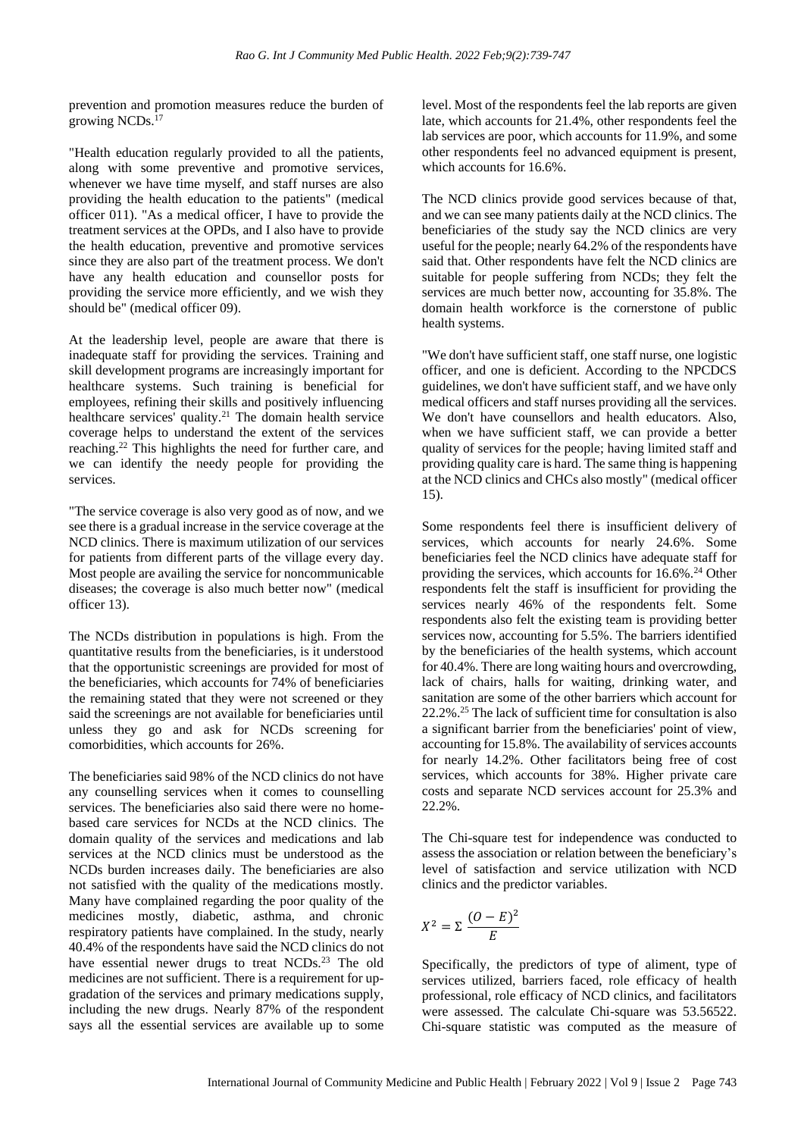prevention and promotion measures reduce the burden of growing NCDs.<sup>17</sup>

"Health education regularly provided to all the patients, along with some preventive and promotive services, whenever we have time myself, and staff nurses are also providing the health education to the patients" (medical officer 011). "As a medical officer, I have to provide the treatment services at the OPDs, and I also have to provide the health education, preventive and promotive services since they are also part of the treatment process. We don't have any health education and counsellor posts for providing the service more efficiently, and we wish they should be" (medical officer 09).

At the leadership level, people are aware that there is inadequate staff for providing the services. Training and skill development programs are increasingly important for healthcare systems. Such training is beneficial for employees, refining their skills and positively influencing healthcare services' quality.<sup>21</sup> The domain health service coverage helps to understand the extent of the services reaching.<sup>22</sup> This highlights the need for further care, and we can identify the needy people for providing the services.

"The service coverage is also very good as of now, and we see there is a gradual increase in the service coverage at the NCD clinics. There is maximum utilization of our services for patients from different parts of the village every day. Most people are availing the service for noncommunicable diseases; the coverage is also much better now" (medical officer 13).

The NCDs distribution in populations is high. From the quantitative results from the beneficiaries, is it understood that the opportunistic screenings are provided for most of the beneficiaries, which accounts for 74% of beneficiaries the remaining stated that they were not screened or they said the screenings are not available for beneficiaries until unless they go and ask for NCDs screening for comorbidities, which accounts for 26%.

The beneficiaries said 98% of the NCD clinics do not have any counselling services when it comes to counselling services. The beneficiaries also said there were no homebased care services for NCDs at the NCD clinics. The domain quality of the services and medications and lab services at the NCD clinics must be understood as the NCDs burden increases daily. The beneficiaries are also not satisfied with the quality of the medications mostly. Many have complained regarding the poor quality of the medicines mostly, diabetic, asthma, and chronic respiratory patients have complained. In the study, nearly 40.4% of the respondents have said the NCD clinics do not have essential newer drugs to treat NCDs.<sup>23</sup> The old medicines are not sufficient. There is a requirement for upgradation of the services and primary medications supply, including the new drugs. Nearly 87% of the respondent says all the essential services are available up to some

level. Most of the respondents feel the lab reports are given late, which accounts for 21.4%, other respondents feel the lab services are poor, which accounts for 11.9%, and some other respondents feel no advanced equipment is present, which accounts for 16.6%.

The NCD clinics provide good services because of that, and we can see many patients daily at the NCD clinics. The beneficiaries of the study say the NCD clinics are very useful for the people; nearly 64.2% of the respondents have said that. Other respondents have felt the NCD clinics are suitable for people suffering from NCDs; they felt the services are much better now, accounting for 35.8%. The domain health workforce is the cornerstone of public health systems.

"We don't have sufficient staff, one staff nurse, one logistic officer, and one is deficient. According to the NPCDCS guidelines, we don't have sufficient staff, and we have only medical officers and staff nurses providing all the services. We don't have counsellors and health educators. Also, when we have sufficient staff, we can provide a better quality of services for the people; having limited staff and providing quality care is hard. The same thing is happening at the NCD clinics and CHCs also mostly" (medical officer 15).

Some respondents feel there is insufficient delivery of services, which accounts for nearly 24.6%. Some beneficiaries feel the NCD clinics have adequate staff for providing the services, which accounts for  $16.6\%$ .<sup>24</sup> Other respondents felt the staff is insufficient for providing the services nearly 46% of the respondents felt. Some respondents also felt the existing team is providing better services now, accounting for 5.5%. The barriers identified by the beneficiaries of the health systems, which account for 40.4%. There are long waiting hours and overcrowding, lack of chairs, halls for waiting, drinking water, and sanitation are some of the other barriers which account for 22.2%.<sup>25</sup> The lack of sufficient time for consultation is also a significant barrier from the beneficiaries' point of view, accounting for 15.8%. The availability of services accounts for nearly 14.2%. Other facilitators being free of cost services, which accounts for 38%. Higher private care costs and separate NCD services account for 25.3% and 22.2%.

The Chi-square test for independence was conducted to assess the association or relation between the beneficiary's level of satisfaction and service utilization with NCD clinics and the predictor variables.

$$
X^2 = \Sigma \frac{(O - E)^2}{E}
$$

Specifically, the predictors of type of aliment, type of services utilized, barriers faced, role efficacy of health professional, role efficacy of NCD clinics, and facilitators were assessed. The calculate Chi-square was 53.56522. Chi-square statistic was computed as the measure of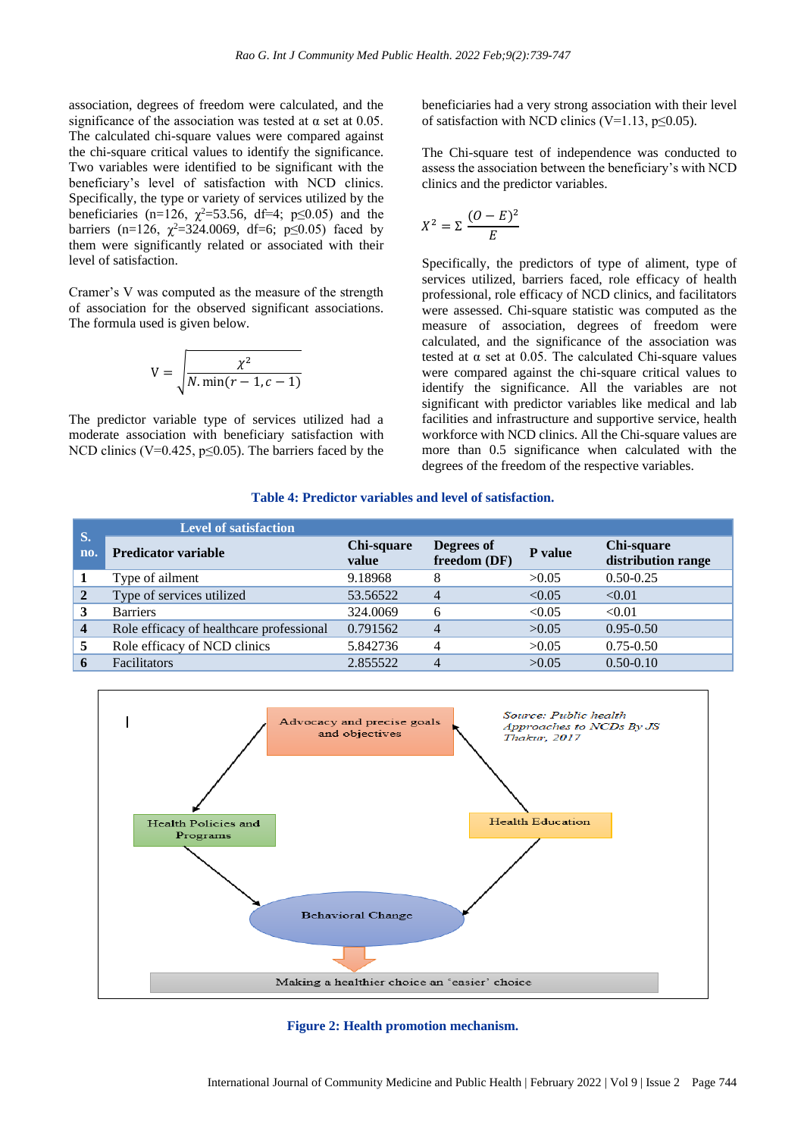association, degrees of freedom were calculated, and the significance of the association was tested at  $\alpha$  set at 0.05. The calculated chi-square values were compared against the chi-square critical values to identify the significance. Two variables were identified to be significant with the beneficiary's level of satisfaction with NCD clinics. Specifically, the type or variety of services utilized by the beneficiaries (n=126,  $\chi^2$ =53.56, df=4; p $\leq$ 0.05) and the barriers (n=126,  $\chi^2$ =324.0069, df=6; p≤0.05) faced by them were significantly related or associated with their level of satisfaction.

Cramer's V was computed as the measure of the strength of association for the observed significant associations. The formula used is given below.

$$
V = \sqrt{\frac{\chi^2}{N \cdot \min(r-1, c-1)}}
$$

The predictor variable type of services utilized had a moderate association with beneficiary satisfaction with NCD clinics (V=0.425,  $p \le 0.05$ ). The barriers faced by the beneficiaries had a very strong association with their level of satisfaction with NCD clinics (V=1.13,  $p \le 0.05$ ).

The Chi-square test of independence was conducted to assess the association between the beneficiary's with NCD clinics and the predictor variables.

$$
X^2 = \Sigma \frac{(O - E)^2}{E}
$$

Specifically, the predictors of type of aliment, type of services utilized, barriers faced, role efficacy of health professional, role efficacy of NCD clinics, and facilitators were assessed. Chi-square statistic was computed as the measure of association, degrees of freedom were calculated, and the significance of the association was tested at  $\alpha$  set at 0.05. The calculated Chi-square values were compared against the chi-square critical values to identify the significance. All the variables are not significant with predictor variables like medical and lab facilities and infrastructure and supportive service, health workforce with NCD clinics. All the Chi-square values are more than 0.5 significance when calculated with the degrees of the freedom of the respective variables.

#### **Table 4: Predictor variables and level of satisfaction.**

| S.                      | <b>Level of satisfaction</b>             |                     |                            |         |                                  |
|-------------------------|------------------------------------------|---------------------|----------------------------|---------|----------------------------------|
| no.                     | <b>Predicator variable</b>               | Chi-square<br>value | Degrees of<br>freedom (DF) | P value | Chi-square<br>distribution range |
|                         | Type of ailment                          | 9.18968             |                            | >0.05   | $0.50 - 0.25$                    |
| 2                       | Type of services utilized                | 53.56522            |                            | < 0.05  | < 0.01                           |
|                         | <b>Barriers</b>                          | 324.0069            | 6                          | < 0.05  | < 0.01                           |
| $\overline{\mathbf{4}}$ | Role efficacy of healthcare professional | 0.791562            |                            | >0.05   | $0.95 - 0.50$                    |
| 5                       | Role efficacy of NCD clinics             | 5.842736            |                            | >0.05   | $0.75 - 0.50$                    |
|                         | <b>Facilitators</b>                      | 2.855522            |                            | >0.05   | $0.50 - 0.10$                    |



**Figure 2: Health promotion mechanism.**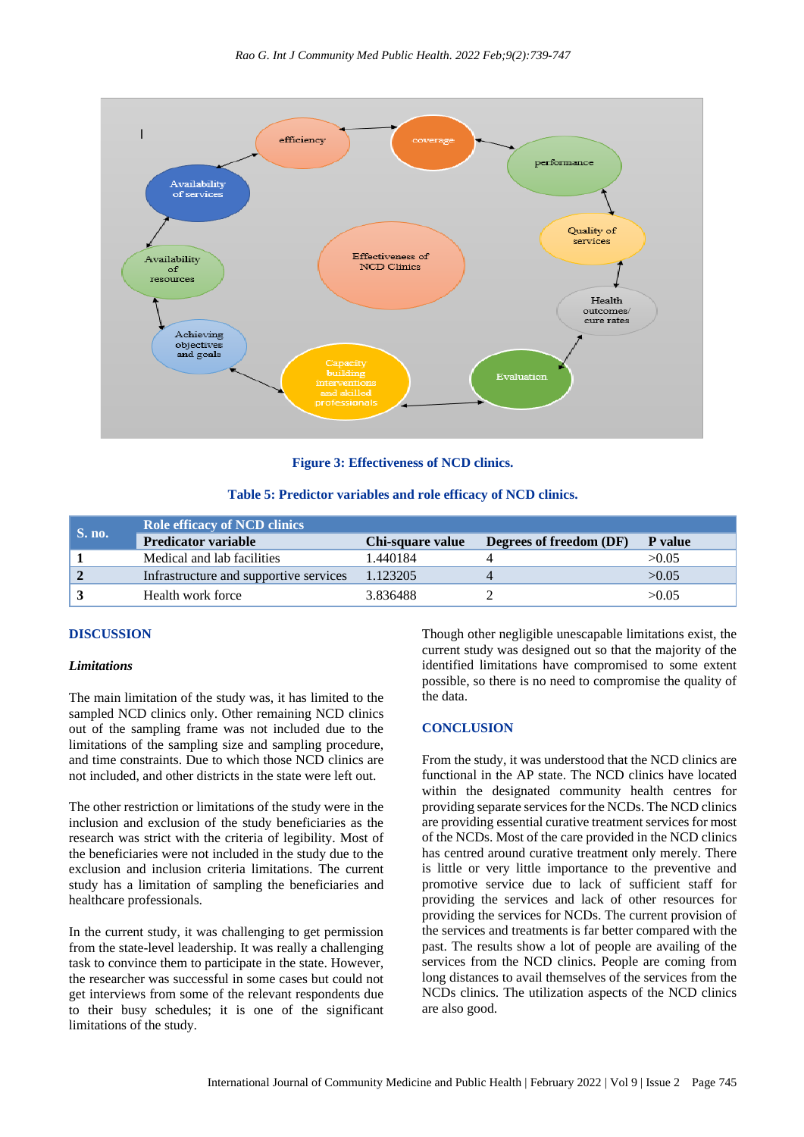

**Figure 3: Effectiveness of NCD clinics.**

|  | Table 5: Predictor variables and role efficacy of NCD clinics. |  |  |
|--|----------------------------------------------------------------|--|--|
|  |                                                                |  |  |

| <b>S. no.</b> | <b>Role efficacy of NCD clinics</b>    |                  |                         |                |  |  |  |
|---------------|----------------------------------------|------------------|-------------------------|----------------|--|--|--|
|               | <b>Predicator variable</b>             | Chi-square value | Degrees of freedom (DF) | <b>P</b> value |  |  |  |
|               | Medical and lab facilities             | 1.440184         |                         | >0.05          |  |  |  |
|               | Infrastructure and supportive services | 1.123205         |                         | >0.05          |  |  |  |
|               | Health work force                      | 3.836488         |                         | >0.05          |  |  |  |

## **DISCUSSION**

#### *Limitations*

The main limitation of the study was, it has limited to the sampled NCD clinics only. Other remaining NCD clinics out of the sampling frame was not included due to the limitations of the sampling size and sampling procedure, and time constraints. Due to which those NCD clinics are not included, and other districts in the state were left out.

The other restriction or limitations of the study were in the inclusion and exclusion of the study beneficiaries as the research was strict with the criteria of legibility. Most of the beneficiaries were not included in the study due to the exclusion and inclusion criteria limitations. The current study has a limitation of sampling the beneficiaries and healthcare professionals.

In the current study, it was challenging to get permission from the state-level leadership. It was really a challenging task to convince them to participate in the state. However, the researcher was successful in some cases but could not get interviews from some of the relevant respondents due to their busy schedules; it is one of the significant limitations of the study.

Though other negligible unescapable limitations exist, the current study was designed out so that the majority of the identified limitations have compromised to some extent possible, so there is no need to compromise the quality of the data.

#### **CONCLUSION**

From the study, it was understood that the NCD clinics are functional in the AP state. The NCD clinics have located within the designated community health centres for providing separate services for the NCDs. The NCD clinics are providing essential curative treatment services for most of the NCDs. Most of the care provided in the NCD clinics has centred around curative treatment only merely. There is little or very little importance to the preventive and promotive service due to lack of sufficient staff for providing the services and lack of other resources for providing the services for NCDs. The current provision of the services and treatments is far better compared with the past. The results show a lot of people are availing of the services from the NCD clinics. People are coming from long distances to avail themselves of the services from the NCDs clinics. The utilization aspects of the NCD clinics are also good.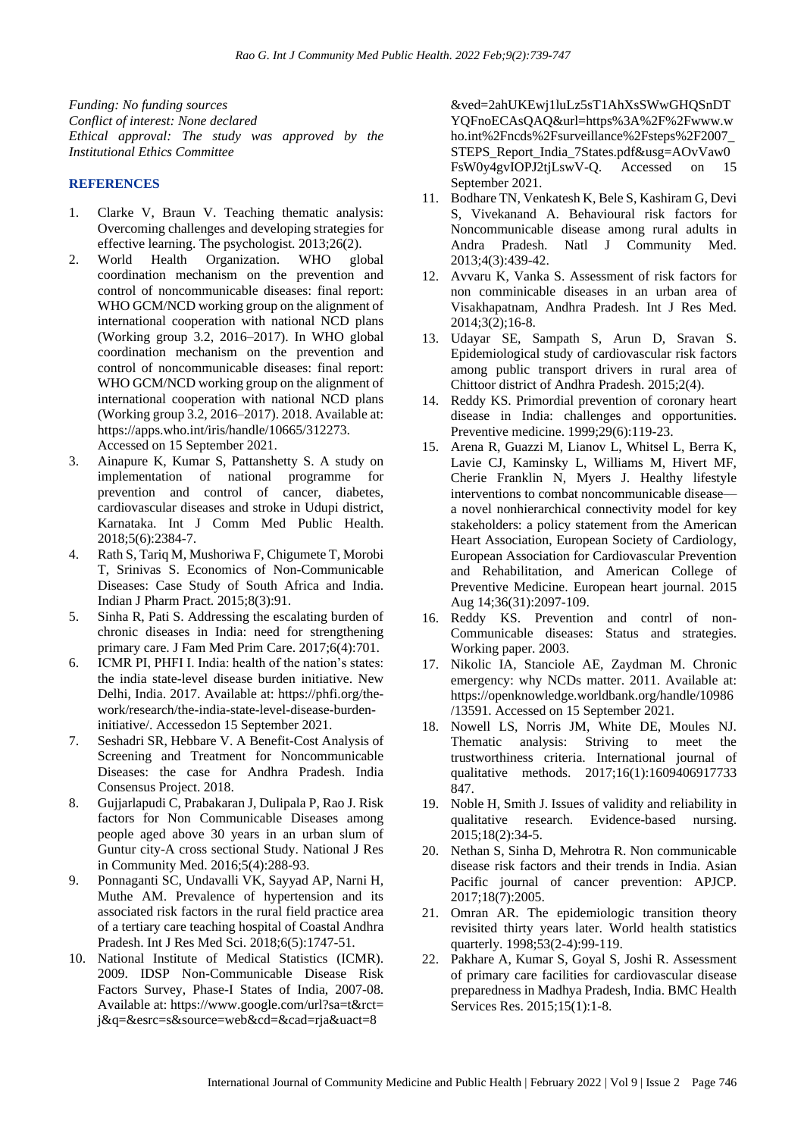*Funding: No funding sources Conflict of interest: None declared Ethical approval: The study was approved by the Institutional Ethics Committee*

## **REFERENCES**

- 1. Clarke V, Braun V. Teaching thematic analysis: Overcoming challenges and developing strategies for effective learning. The psychologist. 2013;26(2).
- 2. World Health Organization. WHO global coordination mechanism on the prevention and control of noncommunicable diseases: final report: WHO GCM/NCD working group on the alignment of international cooperation with national NCD plans (Working group 3.2, 2016–2017). In WHO global coordination mechanism on the prevention and control of noncommunicable diseases: final report: WHO GCM/NCD working group on the alignment of international cooperation with national NCD plans (Working group 3.2, 2016–2017). 2018. Available at: https://apps.who.int/iris/handle/10665/312273. Accessed on 15 September 2021.
- 3. Ainapure K, Kumar S, Pattanshetty S. A study on implementation of national programme for prevention and control of cancer, diabetes, cardiovascular diseases and stroke in Udupi district, Karnataka. Int J Comm Med Public Health. 2018;5(6):2384-7.
- 4. Rath S, Tariq M, Mushoriwa F, Chigumete T, Morobi T, Srinivas S. Economics of Non-Communicable Diseases: Case Study of South Africa and India. Indian J Pharm Pract. 2015;8(3):91.
- 5. Sinha R, Pati S. Addressing the escalating burden of chronic diseases in India: need for strengthening primary care. J Fam Med Prim Care. 2017;6(4):701.
- 6. ICMR PI, PHFI I. India: health of the nation's states: the india state-level disease burden initiative. New Delhi, India. 2017. Available at: https://phfi.org/thework/research/the-india-state-level-disease-burdeninitiative/. Accessedon 15 September 2021.
- 7. Seshadri SR, Hebbare V. A Benefit-Cost Analysis of Screening and Treatment for Noncommunicable Diseases: the case for Andhra Pradesh. India Consensus Project. 2018.
- 8. Gujjarlapudi C, Prabakaran J, Dulipala P, Rao J. Risk factors for Non Communicable Diseases among people aged above 30 years in an urban slum of Guntur city-A cross sectional Study. National J Res in Community Med. 2016;5(4):288-93.
- 9. Ponnaganti SC, Undavalli VK, Sayyad AP, Narni H, Muthe AM. Prevalence of hypertension and its associated risk factors in the rural field practice area of a tertiary care teaching hospital of Coastal Andhra Pradesh. Int J Res Med Sci. 2018;6(5):1747-51.
- 10. National Institute of Medical Statistics (ICMR). 2009. IDSP Non-Communicable Disease Risk Factors Survey, Phase-I States of India, 2007-08. Available at: https://www.google.com/url?sa=t&rct= j&q=&esrc=s&source=web&cd=&cad=rja&uact=8

&ved=2ahUKEwj1luLz5sT1AhXsSWwGHQSnDT YQFnoECAsQAQ&url=https%3A%2F%2Fwww.w ho.int%2Fncds%2Fsurveillance%2Fsteps%2F2007\_ STEPS\_Report\_India\_7States.pdf&usg=AOvVaw0 FsW0y4gvIOPJ2tjLswV-Q. Accessed on 15 September 2021.

- 11. Bodhare TN, Venkatesh K, Bele S, Kashiram G, Devi S, Vivekanand A. Behavioural risk factors for Noncommunicable disease among rural adults in Andra Pradesh. Natl J Community Med. 2013;4(3):439-42.
- 12. Avvaru K, Vanka S. Assessment of risk factors for non comminicable diseases in an urban area of Visakhapatnam, Andhra Pradesh. Int J Res Med. 2014;3(2);16-8.
- 13. Udayar SE, Sampath S, Arun D, Sravan S. Epidemiological study of cardiovascular risk factors among public transport drivers in rural area of Chittoor district of Andhra Pradesh. 2015;2(4).
- 14. Reddy KS. Primordial prevention of coronary heart disease in India: challenges and opportunities. Preventive medicine. 1999;29(6):119-23.
- 15. Arena R, Guazzi M, Lianov L, Whitsel L, Berra K, Lavie CJ, Kaminsky L, Williams M, Hivert MF, Cherie Franklin N, Myers J. Healthy lifestyle interventions to combat noncommunicable disease a novel nonhierarchical connectivity model for key stakeholders: a policy statement from the American Heart Association, European Society of Cardiology, European Association for Cardiovascular Prevention and Rehabilitation, and American College of Preventive Medicine. European heart journal. 2015 Aug 14;36(31):2097-109.
- 16. Reddy KS. Prevention and contrl of non-Communicable diseases: Status and strategies. Working paper. 2003.
- 17. Nikolic IA, Stanciole AE, Zaydman M. Chronic emergency: why NCDs matter. 2011. Available at: https://openknowledge.worldbank.org/handle/10986 /13591. Accessed on 15 September 2021.
- 18. Nowell LS, Norris JM, White DE, Moules NJ. Thematic analysis: Striving to meet the trustworthiness criteria. International journal of qualitative methods. 2017;16(1):1609406917733 847.
- 19. Noble H, Smith J. Issues of validity and reliability in qualitative research. Evidence-based nursing. 2015;18(2):34-5.
- 20. Nethan S, Sinha D, Mehrotra R. Non communicable disease risk factors and their trends in India. Asian Pacific journal of cancer prevention: APJCP. 2017;18(7):2005.
- 21. Omran AR. The epidemiologic transition theory revisited thirty years later. World health statistics quarterly. 1998;53(2-4):99-119.
- 22. Pakhare A, Kumar S, Goyal S, Joshi R. Assessment of primary care facilities for cardiovascular disease preparedness in Madhya Pradesh, India. BMC Health Services Res. 2015;15(1):1-8.